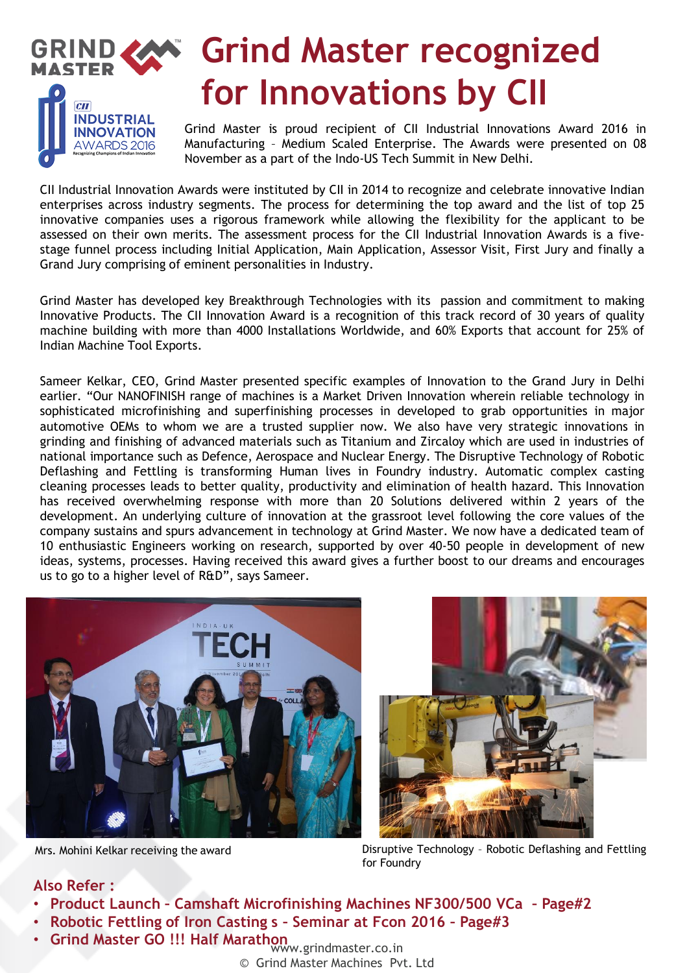

Grind Master is proud recipient of CII Industrial Innovations Award 2016 in Manufacturing – Medium Scaled Enterprise. The Awards were presented on 08 November as a part of the Indo-US Tech Summit in New Delhi.

CII Industrial Innovation Awards were instituted by CII in 2014 to recognize and celebrate innovative Indian enterprises across industry segments. The process for determining the top award and the list of top 25 innovative companies uses a rigorous framework while allowing the flexibility for the applicant to be assessed on their own merits. The assessment process for the CII Industrial Innovation Awards is a fivestage funnel process including Initial Application, Main Application, Assessor Visit, First Jury and finally a Grand Jury comprising of eminent personalities in Industry.

Grind Master has developed key Breakthrough Technologies with its passion and commitment to making Innovative Products. The CII Innovation Award is a recognition of this track record of 30 years of quality machine building with more than 4000 Installations Worldwide, and 60% Exports that account for 25% of Indian Machine Tool Exports.

Sameer Kelkar, CEO, Grind Master presented specific examples of Innovation to the Grand Jury in Delhi earlier. "Our NANOFINISH range of machines is a Market Driven Innovation wherein reliable technology in sophisticated microfinishing and superfinishing processes in developed to grab opportunities in major automotive OEMs to whom we are a trusted supplier now. We also have very strategic innovations in grinding and finishing of advanced materials such as Titanium and Zircaloy which are used in industries of national importance such as Defence, Aerospace and Nuclear Energy. The Disruptive Technology of Robotic Deflashing and Fettling is transforming Human lives in Foundry industry. Automatic complex casting cleaning processes leads to better quality, productivity and elimination of health hazard. This Innovation has received overwhelming response with more than 20 Solutions delivered within 2 years of the development. An underlying culture of innovation at the grassroot level following the core values of the company sustains and spurs advancement in technology at Grind Master. We now have a dedicated team of 10 enthusiastic Engineers working on research, supported by over 40-50 people in development of new ideas, systems, processes. Having received this award gives a further boost to our dreams and encourages us to go to a higher level of R&D", says Sameer.



**INNOVATION** AWARDS 2016



Mrs. Mohini Kelkar receiving the award Disruptive Technology – Robotic Deflashing and Fettling for Foundry

### **Also Refer :**

- **Product Launch – Camshaft Microfinishing Machines NF300/500 VCa – Page#2**
- **Robotic Fettling of Iron Casting s – Seminar at Fcon 2016 – Page#3**
- Grind Master GO !!! Half Marathon **www.grindmaster.co.in** 
	- © Grind Master Machines Pvt. Ltd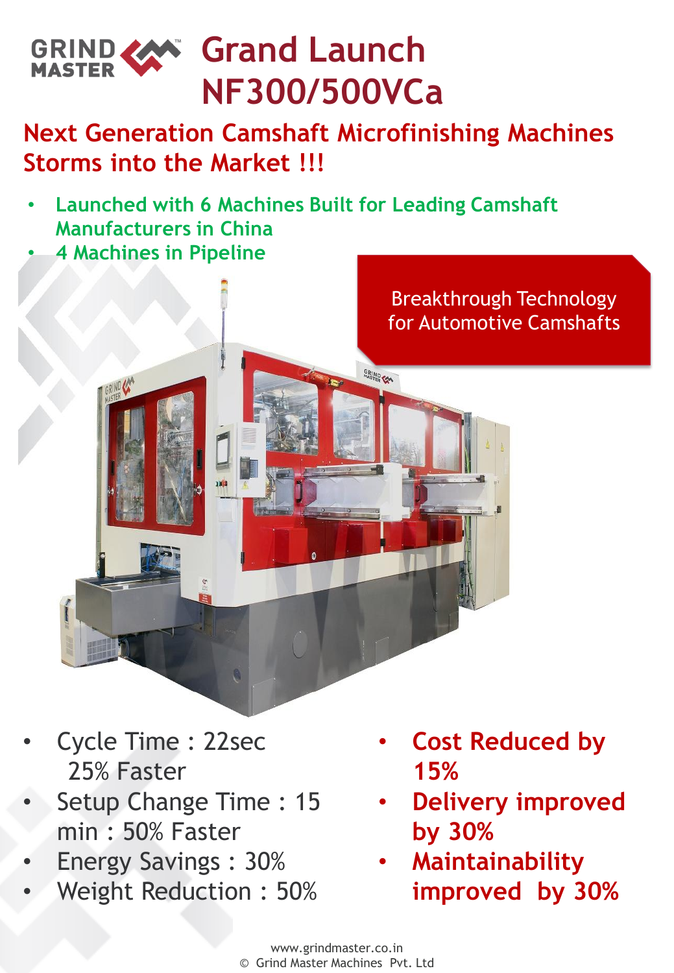

# **Next Generation Camshaft Microfinishing Machines Storms into the Market !!!**

GRIND CAN

- • **Launched with 6 Machines Built for Leading Camshaft Manufacturers in China**
- **4 Machines in Pipeline**



- Cycle Time : 22sec 25% Faster
- Setup Change Time : 15 min : 50% Faster
- Energy Savings : 30%
- Weight Reduction : 50%
- **Cost Reduced by 15%**
- **Delivery improved by 30%**
- **Maintainability improved by 30%**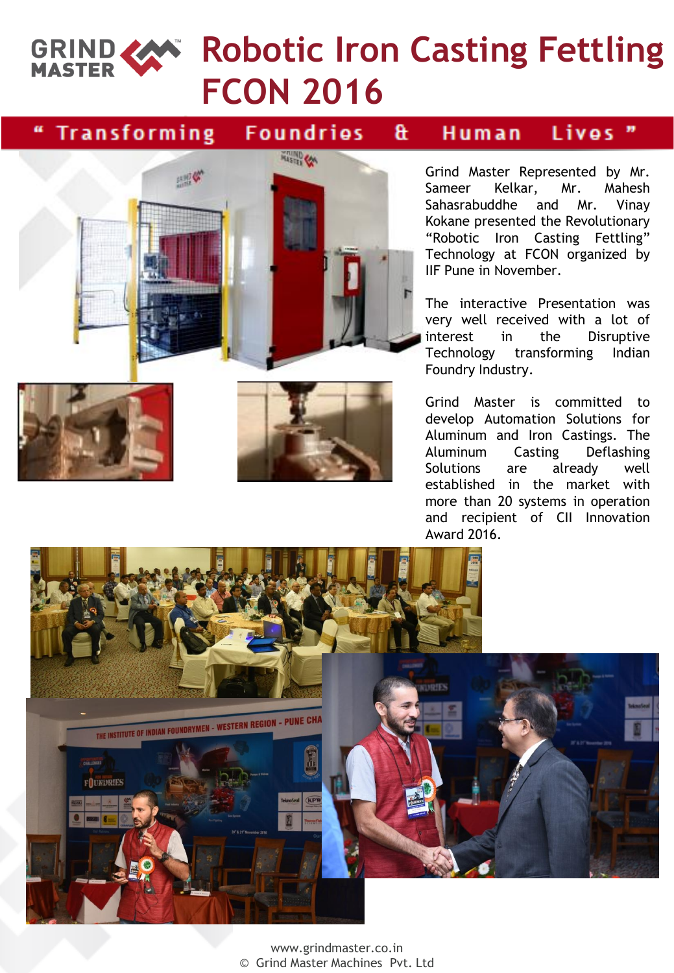

## **Transforming**

#### **Foundries** a.

#### Lives Human



Grind Master Represented by Mr. Sameer Kelkar, Mr. Mahesh Sahasrabuddhe and Mr. Vinay Kokane presented the Revolutionary "Robotic Iron Casting Fettling" Technology at FCON organized by IIF Pune in November.

The interactive Presentation was very well received with a lot of interest in the Disruptive Technology transforming Indian Foundry Industry.

Grind Master is committed to develop Automation Solutions for Aluminum and Iron Castings. The Aluminum Casting Deflashing Solutions are already well established in the market with more than 20 systems in operation and recipient of CII Innovation Award 2016.



www.grindmaster.co.in © Grind Master Machines Pvt. Ltd